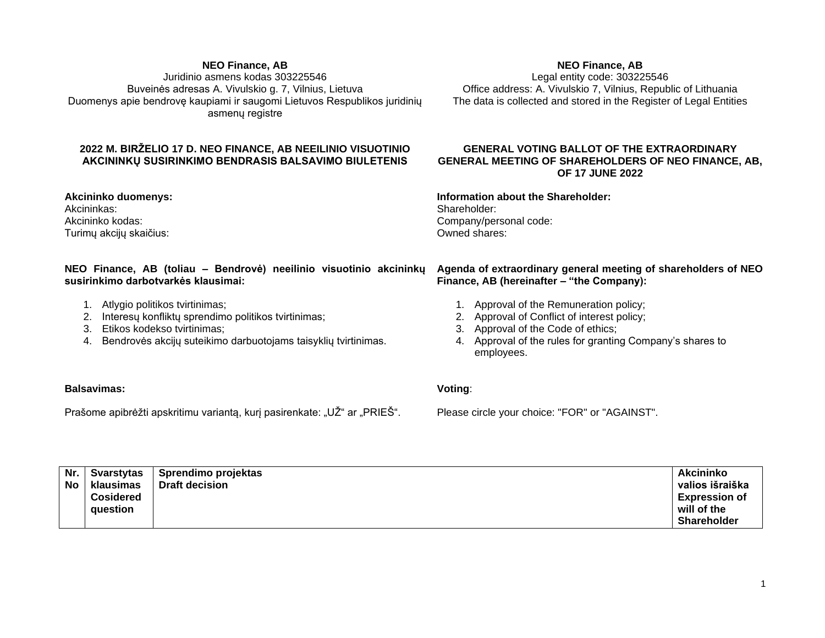#### **NEO Finance, AB**

Juridinio asmens kodas 303225546 Buveinės adresas A. Vivulskio g. 7, Vilnius, Lietuva Duomenys apie bendrovę kaupiami ir saugomi Lietuvos Respublikos juridinių asmenų registre

# **2022 M. BIRŽELIO 17 D. NEO FINANCE, AB NEEILINIO VISUOTINIO AKCININKŲ SUSIRINKIMO BENDRASIS BALSAVIMO BIULETENIS**

**Akcininko duomenys:** Akcininkas: Akcininko kodas: Turimų akcijų skaičius:

# **NEO Finance, AB (toliau – Bendrovė) neeilinio visuotinio akcininkų susirinkimo darbotvarkės klausimai:**

- 1. Atlygio politikos tvirtinimas;
- 2. Interesų konfliktų sprendimo politikos tvirtinimas;
- 3. Etikos kodekso tvirtinimas;
- 4. Bendrovės akcijų suteikimo darbuotojams taisyklių tvirtinimas.

## **NEO Finance, AB**

Legal entity code: 303225546 Office address: A. Vivulskio 7, Vilnius, Republic of Lithuania The data is collected and stored in the Register of Legal Entities

## **GENERAL VOTING BALLOT OF THE EXTRAORDINARY GENERAL MEETING OF SHAREHOLDERS OF NEO FINANCE, AB, OF 17 JUNE 2022**

## **Information about the Shareholder:** Shareholder: Company/personal code:

Owned shares:

## **Agenda of extraordinary general meeting of shareholders of NEO Finance, AB (hereinafter – "the Company):**

- 1. Approval of the Remuneration policy;
- 2. Approval of Conflict of interest policy;
- 3. Approval of the Code of ethics;
- 4. Approval of the rules for granting Company's shares to employees.

# **Balsavimas:**

Prašome apibrėžti apskritimu variantą, kurį pasirenkate: "UŽ" ar "PRIEŠ".

#### **Voting**:

Please circle your choice: "FOR" or "AGAINST".

| Nr.       | Svarstvtas                   | Sprendimo projektas   | <b>Akcininko</b>                                   |
|-----------|------------------------------|-----------------------|----------------------------------------------------|
| <b>No</b> | klausimas                    | <b>Draft decision</b> | valios išraiška                                    |
|           | <b>Cosidered</b><br>auestion |                       | <b>Expression of</b><br>will of the<br>Shareholder |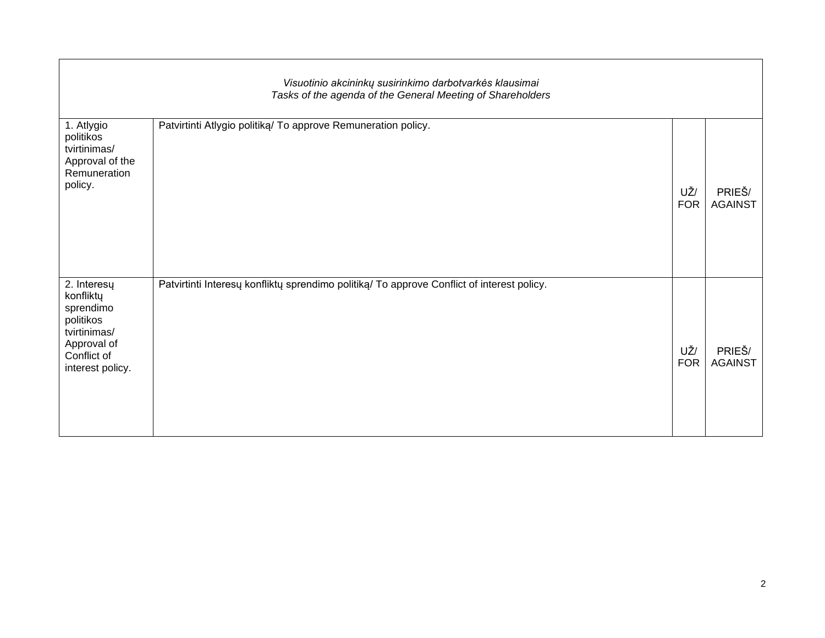| Visuotinio akcininkų susirinkimo darbotvarkės klausimai<br>Tasks of the agenda of the General Meeting of Shareholders |                                                                                            |                   |                          |  |  |  |  |  |
|-----------------------------------------------------------------------------------------------------------------------|--------------------------------------------------------------------------------------------|-------------------|--------------------------|--|--|--|--|--|
| 1. Atlygio<br>politikos<br>tvirtinimas/<br>Approval of the<br>Remuneration<br>policy.                                 | Patvirtinti Atlygio politiką/ To approve Remuneration policy.                              | UŽ/<br><b>FOR</b> | PRIEŠ/<br><b>AGAINST</b> |  |  |  |  |  |
| 2. Interesų<br>konfliktų<br>sprendimo<br>politikos<br>tvirtinimas/<br>Approval of<br>Conflict of<br>interest policy.  | Patvirtinti Interesų konfliktų sprendimo politiką/ To approve Conflict of interest policy. | UŽ/<br><b>FOR</b> | PRIEŠ/<br><b>AGAINST</b> |  |  |  |  |  |